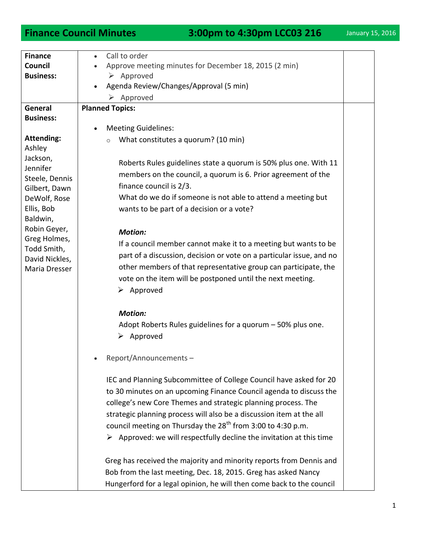| <b>Finance</b>       | Call to order<br>$\bullet$                                                                                                                                                                                                                                                                            |  |
|----------------------|-------------------------------------------------------------------------------------------------------------------------------------------------------------------------------------------------------------------------------------------------------------------------------------------------------|--|
| Council              | Approve meeting minutes for December 18, 2015 (2 min)                                                                                                                                                                                                                                                 |  |
| <b>Business:</b>     | $\triangleright$ Approved                                                                                                                                                                                                                                                                             |  |
|                      | Agenda Review/Changes/Approval (5 min)                                                                                                                                                                                                                                                                |  |
|                      | Approved<br>➤                                                                                                                                                                                                                                                                                         |  |
| General              | <b>Planned Topics:</b>                                                                                                                                                                                                                                                                                |  |
| <b>Business:</b>     |                                                                                                                                                                                                                                                                                                       |  |
|                      | <b>Meeting Guidelines:</b>                                                                                                                                                                                                                                                                            |  |
| <b>Attending:</b>    | What constitutes a quorum? (10 min)<br>$\circ$                                                                                                                                                                                                                                                        |  |
| Ashley               |                                                                                                                                                                                                                                                                                                       |  |
| Jackson,<br>Jennifer | Roberts Rules guidelines state a quorum is 50% plus one. With 11                                                                                                                                                                                                                                      |  |
| Steele, Dennis       | members on the council, a quorum is 6. Prior agreement of the                                                                                                                                                                                                                                         |  |
| Gilbert, Dawn        | finance council is 2/3.                                                                                                                                                                                                                                                                               |  |
| DeWolf, Rose         | What do we do if someone is not able to attend a meeting but                                                                                                                                                                                                                                          |  |
| Ellis, Bob           | wants to be part of a decision or a vote?                                                                                                                                                                                                                                                             |  |
| Baldwin,             |                                                                                                                                                                                                                                                                                                       |  |
| Robin Geyer,         | <b>Motion:</b>                                                                                                                                                                                                                                                                                        |  |
| Greg Holmes,         |                                                                                                                                                                                                                                                                                                       |  |
| Todd Smith,          | If a council member cannot make it to a meeting but wants to be                                                                                                                                                                                                                                       |  |
| David Nickles,       | part of a discussion, decision or vote on a particular issue, and no                                                                                                                                                                                                                                  |  |
| Maria Dresser        | other members of that representative group can participate, the                                                                                                                                                                                                                                       |  |
|                      | vote on the item will be postponed until the next meeting.                                                                                                                                                                                                                                            |  |
|                      | $\triangleright$ Approved                                                                                                                                                                                                                                                                             |  |
|                      |                                                                                                                                                                                                                                                                                                       |  |
|                      | <b>Motion:</b>                                                                                                                                                                                                                                                                                        |  |
|                      | Adopt Roberts Rules guidelines for a quorum - 50% plus one.                                                                                                                                                                                                                                           |  |
|                      | Approved<br>➤                                                                                                                                                                                                                                                                                         |  |
|                      |                                                                                                                                                                                                                                                                                                       |  |
|                      | Report/Announcements-                                                                                                                                                                                                                                                                                 |  |
|                      |                                                                                                                                                                                                                                                                                                       |  |
|                      | IEC and Planning Subcommittee of College Council have asked for 20                                                                                                                                                                                                                                    |  |
|                      | to 30 minutes on an upcoming Finance Council agenda to discuss the                                                                                                                                                                                                                                    |  |
|                      | college's new Core Themes and strategic planning process. The                                                                                                                                                                                                                                         |  |
|                      | strategic planning process will also be a discussion item at the all                                                                                                                                                                                                                                  |  |
|                      | council meeting on Thursday the 28 <sup>th</sup> from 3:00 to 4:30 p.m.                                                                                                                                                                                                                               |  |
|                      |                                                                                                                                                                                                                                                                                                       |  |
|                      |                                                                                                                                                                                                                                                                                                       |  |
|                      |                                                                                                                                                                                                                                                                                                       |  |
|                      |                                                                                                                                                                                                                                                                                                       |  |
|                      |                                                                                                                                                                                                                                                                                                       |  |
|                      | $\triangleright$ Approved: we will respectfully decline the invitation at this time<br>Greg has received the majority and minority reports from Dennis and<br>Bob from the last meeting, Dec. 18, 2015. Greg has asked Nancy<br>Hungerford for a legal opinion, he will then come back to the council |  |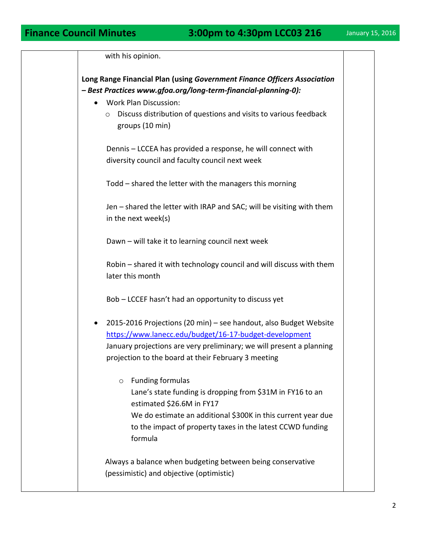| with his opinion.                                                                                                                                                                                                                                                            |  |
|------------------------------------------------------------------------------------------------------------------------------------------------------------------------------------------------------------------------------------------------------------------------------|--|
| Long Range Financial Plan (using Government Finance Officers Association<br>- Best Practices www.gfoa.org/long-term-financial-planning-0):<br><b>Work Plan Discussion:</b><br>Discuss distribution of questions and visits to various feedback<br>$\circ$<br>groups (10 min) |  |
| Dennis - LCCEA has provided a response, he will connect with<br>diversity council and faculty council next week                                                                                                                                                              |  |
| Todd - shared the letter with the managers this morning                                                                                                                                                                                                                      |  |
| Jen - shared the letter with IRAP and SAC; will be visiting with them<br>in the next week(s)                                                                                                                                                                                 |  |
| Dawn - will take it to learning council next week                                                                                                                                                                                                                            |  |
| Robin - shared it with technology council and will discuss with them<br>later this month                                                                                                                                                                                     |  |
| Bob - LCCEF hasn't had an opportunity to discuss yet                                                                                                                                                                                                                         |  |
| 2015-2016 Projections (20 min) - see handout, also Budget Website<br>$\bullet$<br>https://www.lanecc.edu/budget/16-17-budget-development<br>January projections are very preliminary; we will present a planning<br>projection to the board at their February 3 meeting      |  |
| <b>Funding formulas</b><br>$\circ$<br>Lane's state funding is dropping from \$31M in FY16 to an<br>estimated \$26.6M in FY17<br>We do estimate an additional \$300K in this current year due<br>to the impact of property taxes in the latest CCWD funding<br>formula        |  |
| Always a balance when budgeting between being conservative<br>(pessimistic) and objective (optimistic)                                                                                                                                                                       |  |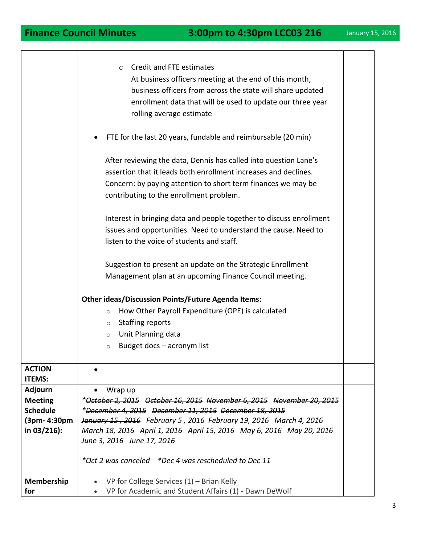|                                | <b>Credit and FTE estimates</b><br>$\circ$<br>At business officers meeting at the end of this month,<br>business officers from across the state will share updated<br>enrollment data that will be used to update our three year<br>rolling average estimate<br>FTE for the last 20 years, fundable and reimbursable (20 min)<br>After reviewing the data, Dennis has called into question Lane's<br>assertion that it leads both enrollment increases and declines.<br>Concern: by paying attention to short term finances we may be<br>contributing to the enrollment problem.<br>Interest in bringing data and people together to discuss enrollment<br>issues and opportunities. Need to understand the cause. Need to<br>listen to the voice of students and staff.<br>Suggestion to present an update on the Strategic Enrollment<br>Management plan at an upcoming Finance Council meeting.<br><b>Other ideas/Discussion Points/Future Agenda Items:</b><br>How Other Payroll Expenditure (OPE) is calculated<br>$\circ$<br><b>Staffing reports</b><br>$\circ$<br>Unit Planning data<br>$\circ$<br>Budget docs - acronym list<br>$\circ$ |  |
|--------------------------------|-------------------------------------------------------------------------------------------------------------------------------------------------------------------------------------------------------------------------------------------------------------------------------------------------------------------------------------------------------------------------------------------------------------------------------------------------------------------------------------------------------------------------------------------------------------------------------------------------------------------------------------------------------------------------------------------------------------------------------------------------------------------------------------------------------------------------------------------------------------------------------------------------------------------------------------------------------------------------------------------------------------------------------------------------------------------------------------------------------------------------------------------------|--|
|                                |                                                                                                                                                                                                                                                                                                                                                                                                                                                                                                                                                                                                                                                                                                                                                                                                                                                                                                                                                                                                                                                                                                                                                 |  |
| <b>ACTION</b><br><b>ITEMS:</b> |                                                                                                                                                                                                                                                                                                                                                                                                                                                                                                                                                                                                                                                                                                                                                                                                                                                                                                                                                                                                                                                                                                                                                 |  |
| <b>Adjourn</b>                 | Wrap up                                                                                                                                                                                                                                                                                                                                                                                                                                                                                                                                                                                                                                                                                                                                                                                                                                                                                                                                                                                                                                                                                                                                         |  |
| <b>Meeting</b>                 | *October 2, 2015 October 16, 2015 November 6, 2015 November 20, 2015                                                                                                                                                                                                                                                                                                                                                                                                                                                                                                                                                                                                                                                                                                                                                                                                                                                                                                                                                                                                                                                                            |  |
| <b>Schedule</b>                | *December 4, 2015 December 11, 2015 December 18, 2015                                                                                                                                                                                                                                                                                                                                                                                                                                                                                                                                                                                                                                                                                                                                                                                                                                                                                                                                                                                                                                                                                           |  |
| (3pm- 4:30pm)                  | January 15, 2016 February 5, 2016 February 19, 2016 March 4, 2016                                                                                                                                                                                                                                                                                                                                                                                                                                                                                                                                                                                                                                                                                                                                                                                                                                                                                                                                                                                                                                                                               |  |
| in $03/216$ :                  | March 18, 2016 April 1, 2016 April 15, 2016 May 6, 2016 May 20, 2016<br>June 3, 2016 June 17, 2016                                                                                                                                                                                                                                                                                                                                                                                                                                                                                                                                                                                                                                                                                                                                                                                                                                                                                                                                                                                                                                              |  |
|                                |                                                                                                                                                                                                                                                                                                                                                                                                                                                                                                                                                                                                                                                                                                                                                                                                                                                                                                                                                                                                                                                                                                                                                 |  |
|                                | *Oct 2 was canceled *Dec 4 was rescheduled to Dec 11                                                                                                                                                                                                                                                                                                                                                                                                                                                                                                                                                                                                                                                                                                                                                                                                                                                                                                                                                                                                                                                                                            |  |
| Membership                     | VP for College Services $(1)$ – Brian Kelly<br>$\bullet$                                                                                                                                                                                                                                                                                                                                                                                                                                                                                                                                                                                                                                                                                                                                                                                                                                                                                                                                                                                                                                                                                        |  |
| for                            | VP for Academic and Student Affairs (1) - Dawn DeWolf                                                                                                                                                                                                                                                                                                                                                                                                                                                                                                                                                                                                                                                                                                                                                                                                                                                                                                                                                                                                                                                                                           |  |